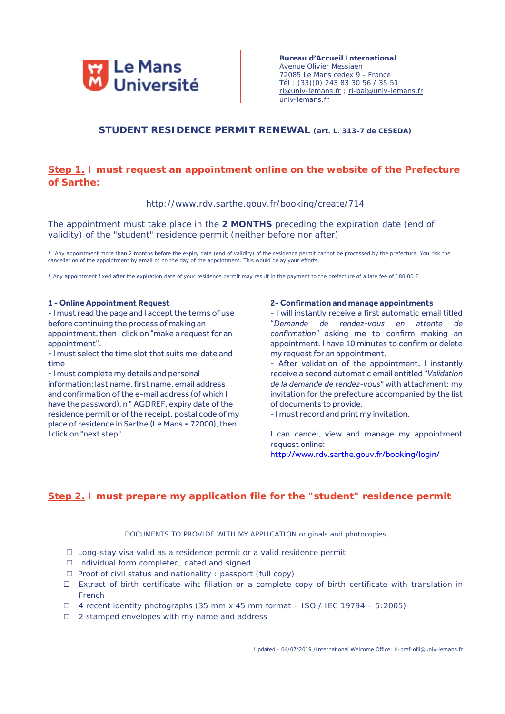

**Bureau d'Accueil International** Avenue Olivier Messiaen 72085 Le Mans cedex 9 - France Tél : (33)(0) 243 83 30 56 / 35 51 [ri@univ-lemans.fr](mailto:ri@univ-lemans.fr) ; [ri-bai@univ-lemans.fr](mailto:ri-bai@univ-lemans.fr) univ-lemans.fr

## **STUDENT RESIDENCE PERMIT RENEWAL (art. L. 313-7 de CESEDA)**

# **Step 1. I must request an appointment online on the website of the Prefecture of Sarthe:**

### http://www.rdv.sarthe.gouv.fr/booking/create/714

The appointment must take place in the **2 MONTHS** preceding the expiration date (end of validity) of the "student" residence permit (neither before nor after)

\* Any appointment more than 2 months before the expiry date (end of validity) of the residence permit cannot be processed by the prefecture. You risk the cancellation of the appointment by email or on the day of the appointment. This would delay your efforts.

\* Any appointment fixed after the expiration date of your residence permit may result in the payment to the prefecture of a late fee of 180,00  $\epsilon$ 

## **1 - Online Appointment Request**

- I must read the page and I accept the terms of use before continuing the process of making an appointment, then I click on "make a request for an appointment".

- I must select the time slot that suits me: date and time

- I must complete my details and personal information: last name, first name, email address and confirmation of the e-mail address (of which I have the password), n ° AGDREF, expiry date of the residence permit or of the receipt, postal code of my place of residence in Sarthe (Le Mans = 72000), then I click on "next step".

#### **2- Confirmation and manage appointments**

- I will instantly receive a first automatic email titled "*Demande de rendez-vous en attente de confirmation"* asking me to confirm making an appointment. I have 10 minutes to confirm or delete my request for an appointment.

- After validation of the appointment, I instantly receive a second automatic email entitled *"Validation de la demande de rendez-vous"* with attachment: my invitation for the prefecture accompanied by the list of documents to provide.

- I must record and print my invitation.

I can cancel, view and manage my appointment request online:

<http://www.rdv.sarthe.gouv.fr/booking/login/>

# **Step 2. I must prepare my application file for the "student" residence permit**

### DOCUMENTS TO PROVIDE WITH MY APPLICATION originals and photocopies

- $\Box$  Long-stay visa valid as a residence permit or a valid residence permit
- $\Box$  Individual form completed, dated and signed
- $\Box$  Proof of civil status and nationality : passport (full copy)
- Extract of birth certificate wiht filiation or a complete copy of birth certificate with translation in French
- $\Box$  4 recent identity photographs (35 mm x 45 mm format ISO / IEC 19794 5:2005)
- $\Box$  2 stamped envelopes with my name and address